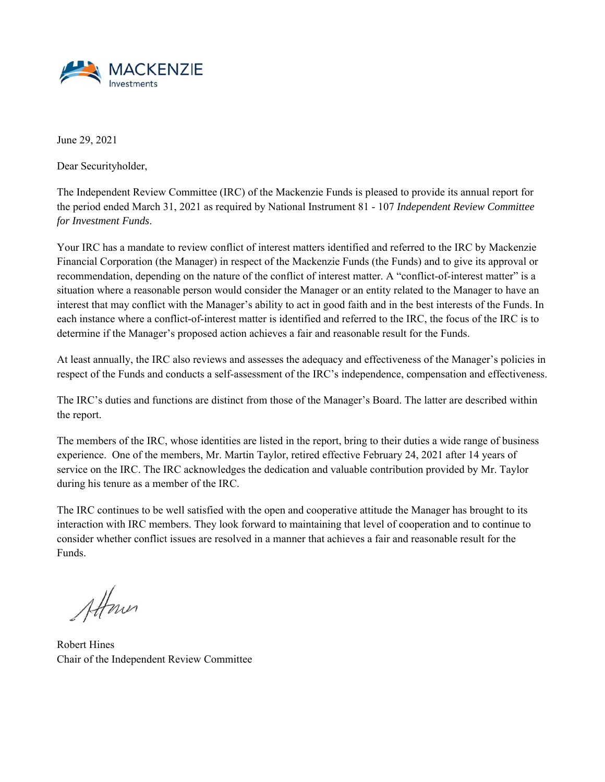

June 29, 2021

Dear Securityholder,

The Independent Review Committee (IRC) of the Mackenzie Funds is pleased to provide its annual report for the period ended March 31, 2021 as required by National Instrument 81 - 107 *Independent Review Committee for Investment Funds*.

Your IRC has a mandate to review conflict of interest matters identified and referred to the IRC by Mackenzie Financial Corporation (the Manager) in respect of the Mackenzie Funds (the Funds) and to give its approval or recommendation, depending on the nature of the conflict of interest matter. A "conflict-of-interest matter" is a situation where a reasonable person would consider the Manager or an entity related to the Manager to have an interest that may conflict with the Manager's ability to act in good faith and in the best interests of the Funds. In each instance where a conflict-of-interest matter is identified and referred to the IRC, the focus of the IRC is to determine if the Manager's proposed action achieves a fair and reasonable result for the Funds.

At least annually, the IRC also reviews and assesses the adequacy and effectiveness of the Manager's policies in respect of the Funds and conducts a self-assessment of the IRC's independence, compensation and effectiveness.

The IRC's duties and functions are distinct from those of the Manager's Board. The latter are described within the report.

The members of the IRC, whose identities are listed in the report, bring to their duties a wide range of business experience. One of the members, Mr. Martin Taylor, retired effective February 24, 2021 after 14 years of service on the IRC. The IRC acknowledges the dedication and valuable contribution provided by Mr. Taylor during his tenure as a member of the IRC.

The IRC continues to be well satisfied with the open and cooperative attitude the Manager has brought to its interaction with IRC members. They look forward to maintaining that level of cooperation and to continue to consider whether conflict issues are resolved in a manner that achieves a fair and reasonable result for the Funds.

Attone

Robert Hines Chair of the Independent Review Committee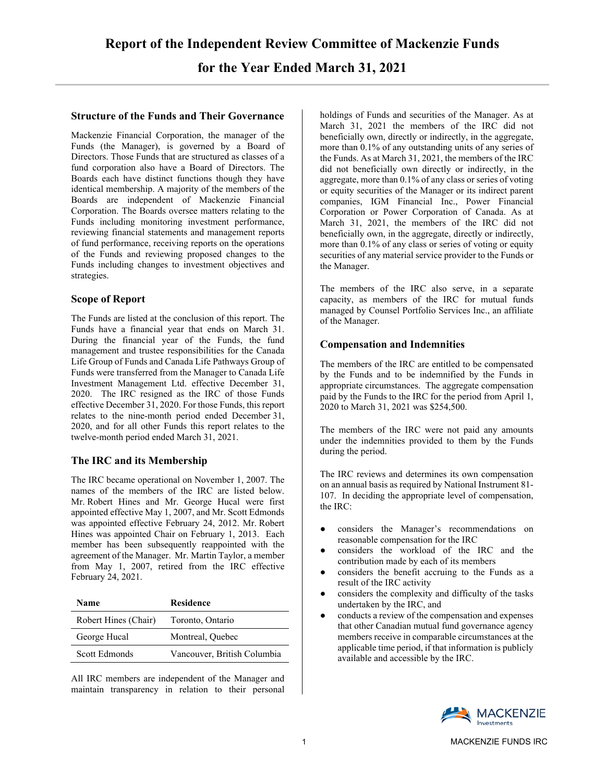# **Structure of the Funds and Their Governance**

Mackenzie Financial Corporation, the manager of the Funds (the Manager), is governed by a Board of Directors. Those Funds that are structured as classes of a fund corporation also have a Board of Directors. The Boards each have distinct functions though they have identical membership. A majority of the members of the Boards are independent of Mackenzie Financial Corporation. The Boards oversee matters relating to the Funds including monitoring investment performance, reviewing financial statements and management reports of fund performance, receiving reports on the operations of the Funds and reviewing proposed changes to the Funds including changes to investment objectives and strategies.

# **Scope of Report**

The Funds are listed at the conclusion of this report. The Funds have a financial year that ends on March 31. During the financial year of the Funds, the fund management and trustee responsibilities for the Canada Life Group of Funds and Canada Life Pathways Group of Funds were transferred from the Manager to Canada Life Investment Management Ltd. effective December 31, 2020. The IRC resigned as the IRC of those Funds effective December 31, 2020. For those Funds, this report relates to the nine-month period ended December 31, 2020, and for all other Funds this report relates to the twelve-month period ended March 31, 2021.

# **The IRC and its Membership**

The IRC became operational on November 1, 2007. The names of the members of the IRC are listed below. Mr. Robert Hines and Mr. George Hucal were first appointed effective May 1, 2007, and Mr. Scott Edmonds was appointed effective February 24, 2012. Mr. Robert Hines was appointed Chair on February 1, 2013. Each member has been subsequently reappointed with the agreement of the Manager. Mr. Martin Taylor, a member from May 1, 2007, retired from the IRC effective February 24, 2021.

| Name                 | Residence                   |
|----------------------|-----------------------------|
| Robert Hines (Chair) | Toronto, Ontario            |
| George Hucal         | Montreal, Ouebec            |
| Scott Edmonds        | Vancouver, British Columbia |

All IRC members are independent of the Manager and maintain transparency in relation to their personal holdings of Funds and securities of the Manager. As at March 31, 2021 the members of the IRC did not beneficially own, directly or indirectly, in the aggregate, more than 0.1% of any outstanding units of any series of the Funds. As at March 31, 2021, the members of the IRC did not beneficially own directly or indirectly, in the aggregate, more than 0.1% of any class or series of voting or equity securities of the Manager or its indirect parent companies, IGM Financial Inc., Power Financial Corporation or Power Corporation of Canada. As at March 31, 2021, the members of the IRC did not beneficially own, in the aggregate, directly or indirectly, more than 0.1% of any class or series of voting or equity securities of any material service provider to the Funds or the Manager.

The members of the IRC also serve, in a separate capacity, as members of the IRC for mutual funds managed by Counsel Portfolio Services Inc., an affiliate of the Manager.

# **Compensation and Indemnities**

The members of the IRC are entitled to be compensated by the Funds and to be indemnified by the Funds in appropriate circumstances. The aggregate compensation paid by the Funds to the IRC for the period from April 1, 2020 to March 31, 2021 was \$254,500.

The members of the IRC were not paid any amounts under the indemnities provided to them by the Funds during the period.

The IRC reviews and determines its own compensation on an annual basis as required by National Instrument 81- 107. In deciding the appropriate level of compensation, the IRC:

- considers the Manager's recommendations on reasonable compensation for the IRC
- considers the workload of the IRC and the contribution made by each of its members
- considers the benefit accruing to the Funds as a result of the IRC activity
- considers the complexity and difficulty of the tasks undertaken by the IRC, and
- conducts a review of the compensation and expenses that other Canadian mutual fund governance agency members receive in comparable circumstances at the applicable time period, if that information is publicly available and accessible by the IRC.

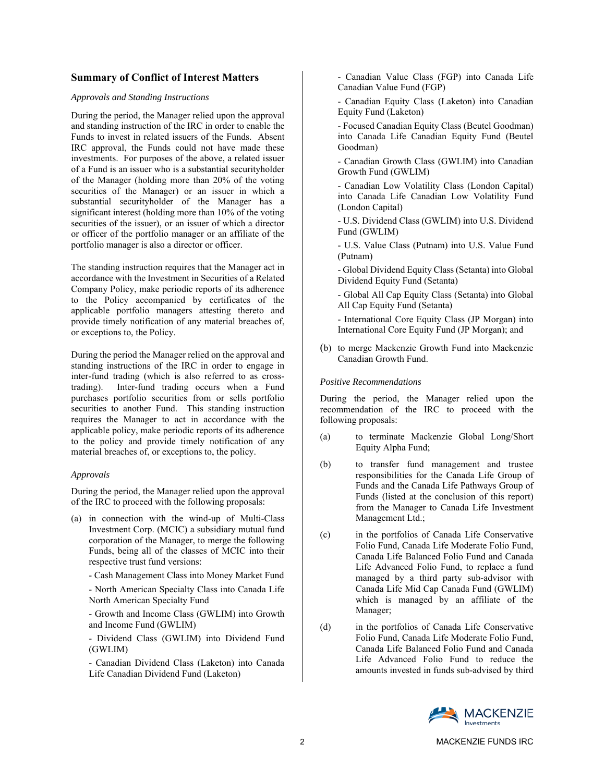## **Summary of Conflict of Interest Matters**

### *Approvals and Standing Instructions*

During the period, the Manager relied upon the approval and standing instruction of the IRC in order to enable the Funds to invest in related issuers of the Funds. Absent IRC approval, the Funds could not have made these investments. For purposes of the above, a related issuer of a Fund is an issuer who is a substantial securityholder of the Manager (holding more than 20% of the voting securities of the Manager) or an issuer in which a substantial securityholder of the Manager has a significant interest (holding more than 10% of the voting securities of the issuer), or an issuer of which a director or officer of the portfolio manager or an affiliate of the portfolio manager is also a director or officer.

The standing instruction requires that the Manager act in accordance with the Investment in Securities of a Related Company Policy, make periodic reports of its adherence to the Policy accompanied by certificates of the applicable portfolio managers attesting thereto and provide timely notification of any material breaches of, or exceptions to, the Policy.

During the period the Manager relied on the approval and standing instructions of the IRC in order to engage in inter-fund trading (which is also referred to as crosstrading). Inter-fund trading occurs when a Fund purchases portfolio securities from or sells portfolio securities to another Fund. This standing instruction requires the Manager to act in accordance with the applicable policy, make periodic reports of its adherence to the policy and provide timely notification of any material breaches of, or exceptions to, the policy.

#### *Approvals*

During the period, the Manager relied upon the approval of the IRC to proceed with the following proposals:

(a) in connection with the wind-up of Multi-Class Investment Corp. (MCIC) a subsidiary mutual fund corporation of the Manager, to merge the following Funds, being all of the classes of MCIC into their respective trust fund versions:

- Cash Management Class into Money Market Fund

 - North American Specialty Class into Canada Life North American Specialty Fund

 - Growth and Income Class (GWLIM) into Growth and Income Fund (GWLIM)

 - Dividend Class (GWLIM) into Dividend Fund (GWLIM)

 - Canadian Dividend Class (Laketon) into Canada Life Canadian Dividend Fund (Laketon)

 - Canadian Value Class (FGP) into Canada Life Canadian Value Fund (FGP)

 - Canadian Equity Class (Laketon) into Canadian Equity Fund (Laketon)

 - Focused Canadian Equity Class (Beutel Goodman) into Canada Life Canadian Equity Fund (Beutel Goodman)

 - Canadian Growth Class (GWLIM) into Canadian Growth Fund (GWLIM)

 - Canadian Low Volatility Class (London Capital) into Canada Life Canadian Low Volatility Fund (London Capital)

 - U.S. Dividend Class (GWLIM) into U.S. Dividend Fund (GWLIM)

 - U.S. Value Class (Putnam) into U.S. Value Fund (Putnam)

 - Global Dividend Equity Class (Setanta) into Global Dividend Equity Fund (Setanta)

 - Global All Cap Equity Class (Setanta) into Global All Cap Equity Fund (Setanta)

 - International Core Equity Class (JP Morgan) into International Core Equity Fund (JP Morgan); and

(b) to merge Mackenzie Growth Fund into Mackenzie Canadian Growth Fund.

#### *Positive Recommendations*

During the period, the Manager relied upon the recommendation of the IRC to proceed with the following proposals:

- (a) to terminate Mackenzie Global Long/Short Equity Alpha Fund;
- (b) to transfer fund management and trustee responsibilities for the Canada Life Group of Funds and the Canada Life Pathways Group of Funds (listed at the conclusion of this report) from the Manager to Canada Life Investment Management Ltd.;
- (c) in the portfolios of Canada Life Conservative Folio Fund, Canada Life Moderate Folio Fund, Canada Life Balanced Folio Fund and Canada Life Advanced Folio Fund, to replace a fund managed by a third party sub-advisor with Canada Life Mid Cap Canada Fund (GWLIM) which is managed by an affiliate of the Manager;
- (d) in the portfolios of Canada Life Conservative Folio Fund, Canada Life Moderate Folio Fund, Canada Life Balanced Folio Fund and Canada Life Advanced Folio Fund to reduce the amounts invested in funds sub-advised by third

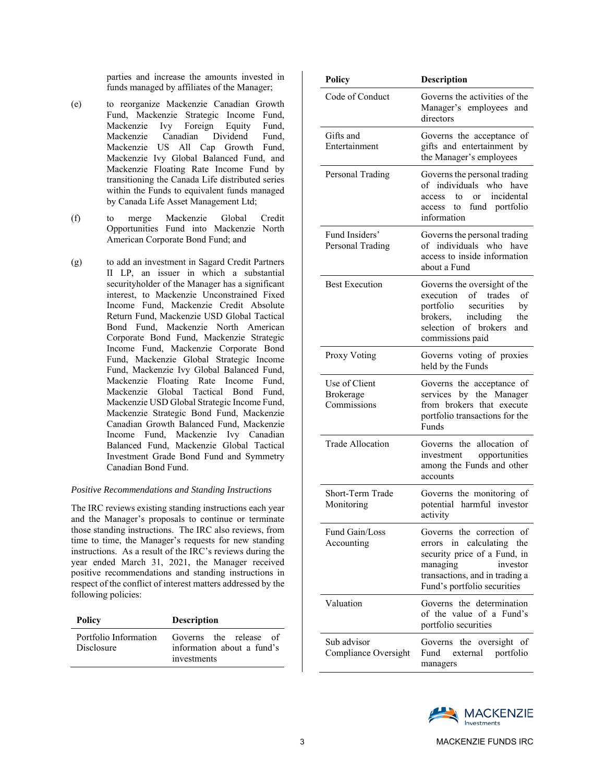parties and increase the amounts invested in funds managed by affiliates of the Manager;

- (e) to reorganize Mackenzie Canadian Growth Fund, Mackenzie Strategic Income Fund, Mackenzie Ivy Foreign Equity Fund, Mackenzie Canadian Dividend Fund, Mackenzie US All Cap Growth Fund, Mackenzie Ivy Global Balanced Fund, and Mackenzie Floating Rate Income Fund by transitioning the Canada Life distributed series within the Funds to equivalent funds managed by Canada Life Asset Management Ltd;
- (f) to merge Mackenzie Global Credit Opportunities Fund into Mackenzie North American Corporate Bond Fund; and
- (g) to add an investment in Sagard Credit Partners II LP, an issuer in which a substantial securityholder of the Manager has a significant interest, to Mackenzie Unconstrained Fixed Income Fund, Mackenzie Credit Absolute Return Fund, Mackenzie USD Global Tactical Bond Fund, Mackenzie North American Corporate Bond Fund, Mackenzie Strategic Income Fund, Mackenzie Corporate Bond Fund, Mackenzie Global Strategic Income Fund, Mackenzie Ivy Global Balanced Fund, Mackenzie Floating Rate Income Fund, Mackenzie Global Tactical Bond Fund, Mackenzie USD Global Strategic Income Fund, Mackenzie Strategic Bond Fund, Mackenzie Canadian Growth Balanced Fund, Mackenzie Income Fund, Mackenzie Ivy Canadian Balanced Fund, Mackenzie Global Tactical Investment Grade Bond Fund and Symmetry Canadian Bond Fund.

#### *Positive Recommendations and Standing Instructions*

The IRC reviews existing standing instructions each year and the Manager's proposals to continue or terminate those standing instructions. The IRC also reviews, from time to time, the Manager's requests for new standing instructions. As a result of the IRC's reviews during the year ended March 31, 2021, the Manager received positive recommendations and standing instructions in respect of the conflict of interest matters addressed by the following policies:

| Policy                              | <b>Description</b>                                                  |
|-------------------------------------|---------------------------------------------------------------------|
| Portfolio Information<br>Disclosure | Governs the release of<br>information about a fund's<br>investments |

| Policy                                           | <b>Description</b>                                                                                                                                                              |
|--------------------------------------------------|---------------------------------------------------------------------------------------------------------------------------------------------------------------------------------|
| Code of Conduct                                  | Governs the activities of the<br>Manager's employees and<br>directors                                                                                                           |
| Gifts and<br>Entertainment                       | Governs the acceptance of<br>gifts and entertainment by<br>the Manager's employees                                                                                              |
| Personal Trading                                 | Governs the personal trading<br>of individuals<br>$w$ ho<br>have<br>incidental<br>access<br>tο<br><sub>or</sub><br>fund portfolio<br>$\mathsf{to}$<br>access<br>information     |
| Fund Insiders'<br>Personal Trading               | Governs the personal trading<br>of individuals who<br>have<br>access to inside information<br>about a Fund                                                                      |
| <b>Best Execution</b>                            | Governs the oversight of the<br>execution of trades<br>- of<br>portfolio<br>securities<br>by<br>brokers, including<br>the<br>selection of brokers<br>and<br>commissions paid    |
| Proxy Voting                                     | Governs voting of proxies<br>held by the Funds                                                                                                                                  |
| Use of Client<br><b>Brokerage</b><br>Commissions | Governs the acceptance of<br>services by the Manager<br>from brokers that execute<br>portfolio transactions for the<br>Funds                                                    |
| <b>Trade Allocation</b>                          | Governs the allocation of<br>investment opportunities<br>among the Funds and other<br>accounts                                                                                  |
| Short-Term Trade<br>Monitoring                   | Governs the monitoring of<br>potential harmful investor<br>activity                                                                                                             |
| Fund Gain/Loss<br>Accounting                     | Governs the correction of<br>errors in calculating the<br>security price of a Fund, in<br>managing<br>investor<br>transactions, and in trading a<br>Fund's portfolio securities |
| Valuation                                        | Governs the determination<br>of the value of a Fund's<br>portfolio securities                                                                                                   |
| Sub advisor<br>Compliance Oversight              | the oversight of<br>Governs<br>Fund<br>portfolio<br>external<br>managers                                                                                                        |

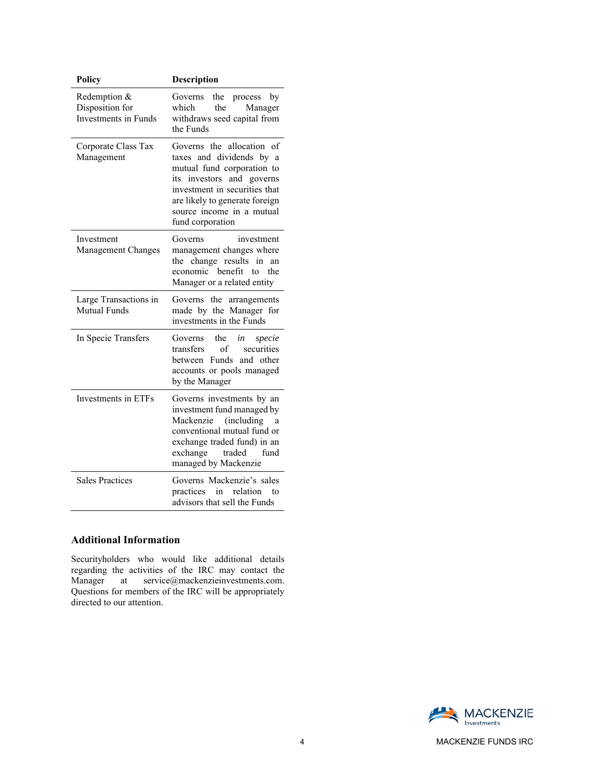| Policy                                                         | Description                                                                                                                                                                                                                                |
|----------------------------------------------------------------|--------------------------------------------------------------------------------------------------------------------------------------------------------------------------------------------------------------------------------------------|
| Redemption &<br>Disposition for<br><b>Investments in Funds</b> | Governs<br>the<br>by<br>process<br>which<br>the<br>Manager<br>withdraws seed capital from<br>the Funds                                                                                                                                     |
| Corporate Class Tax<br>Management                              | Governs the allocation of<br>taxes and dividends by a<br>mutual fund corporation to<br>and governs<br>investors<br>its<br>investment in securities that<br>are likely to generate foreign<br>source income in a mutual<br>fund corporation |
| Investment<br>Management Changes                               | Governs<br>investment<br>management changes where<br>change results<br>in<br>the<br>an<br>economic benefit<br>the<br>tο<br>Manager or a related entity                                                                                     |
| Large Transactions in<br>Mutual Funds                          | Governs the arrangements<br>made by the Manager for<br>investments in the Funds                                                                                                                                                            |
| In Specie Transfers                                            | the<br>in<br>specie<br>Governs<br>of<br>securities<br>transfers<br>between Funds and other<br>accounts or pools managed<br>by the Manager                                                                                                  |
| Investments in ETFs                                            | Governs investments by an<br>investment fund managed by<br>(including)<br>Mackenzie<br>a<br>conventional mutual fund or<br>exchange traded fund) in an<br>exchange traded<br>fund<br>managed by Mackenzie                                  |
| <b>Sales Practices</b>                                         | Governs Mackenzie's sales<br>practices<br>in<br>relation<br>to<br>advisors that sell the Funds                                                                                                                                             |

## **Additional Information**

Securityholders who would like additional details regarding the activities of the IRC may contact the Manager at service@mackenzieinvestments.com. at  $\text{service@machenzienvestments.com.}$ Questions for members of the IRC will be appropriately directed to our attention.



4 MACKENZIE FUNDS IRC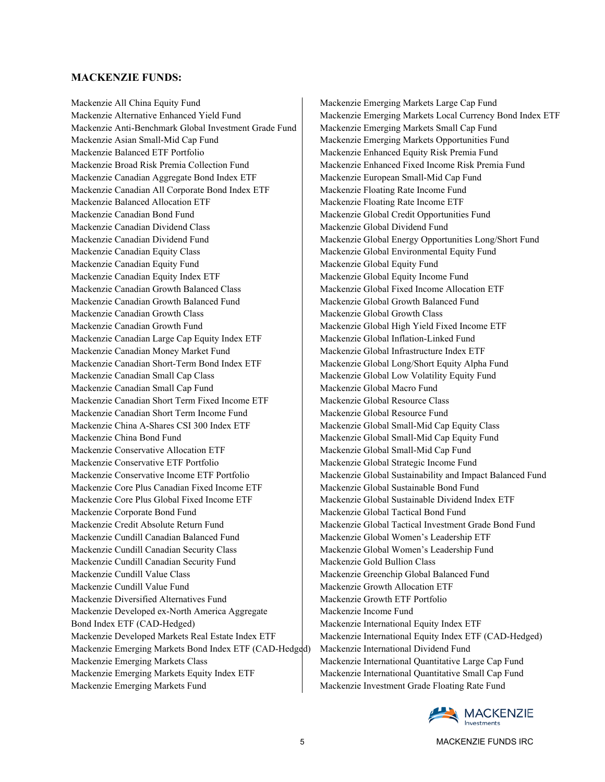### **MACKENZIE FUNDS:**

Mackenzie All China Equity Fund Mackenzie Alternative Enhanced Yield Fund Mackenzie Anti-Benchmark Global Investment Grade Fund Mackenzie Asian Small-Mid Cap Fund Mackenzie Balanced ETF Portfolio Mackenzie Broad Risk Premia Collection Fund Mackenzie Canadian Aggregate Bond Index ETF Mackenzie Canadian All Corporate Bond Index ETF Mackenzie Balanced Allocation ETF Mackenzie Canadian Bond Fund Mackenzie Canadian Dividend Class Mackenzie Canadian Dividend Fund Mackenzie Canadian Equity Class Mackenzie Canadian Equity Fund Mackenzie Canadian Equity Index ETF Mackenzie Canadian Growth Balanced Class Mackenzie Canadian Growth Balanced Fund Mackenzie Canadian Growth Class Mackenzie Canadian Growth Fund Mackenzie Canadian Large Cap Equity Index ETF Mackenzie Canadian Money Market Fund Mackenzie Canadian Short-Term Bond Index ETF Mackenzie Canadian Small Cap Class Mackenzie Canadian Small Cap Fund Mackenzie Canadian Short Term Fixed Income ETF Mackenzie Canadian Short Term Income Fund Mackenzie China A-Shares CSI 300 Index ETF Mackenzie China Bond Fund Mackenzie Conservative Allocation ETF Mackenzie Conservative ETF Portfolio Mackenzie Conservative Income ETF Portfolio Mackenzie Core Plus Canadian Fixed Income ETF Mackenzie Core Plus Global Fixed Income ETF Mackenzie Corporate Bond Fund Mackenzie Credit Absolute Return Fund Mackenzie Cundill Canadian Balanced Fund Mackenzie Cundill Canadian Security Class Mackenzie Cundill Canadian Security Fund Mackenzie Cundill Value Class Mackenzie Cundill Value Fund Mackenzie Diversified Alternatives Fund Mackenzie Developed ex-North America Aggregate Bond Index ETF (CAD-Hedged) Mackenzie Developed Markets Real Estate Index ETF Mackenzie Emerging Markets Bond Index ETF (CAD-Hedged) Mackenzie Emerging Markets Class Mackenzie Emerging Markets Equity Index ETF Mackenzie Emerging Markets Fund

Mackenzie Emerging Markets Large Cap Fund Mackenzie Emerging Markets Local Currency Bond Index ETF Mackenzie Emerging Markets Small Cap Fund Mackenzie Emerging Markets Opportunities Fund Mackenzie Enhanced Equity Risk Premia Fund Mackenzie Enhanced Fixed Income Risk Premia Fund Mackenzie European Small-Mid Cap Fund Mackenzie Floating Rate Income Fund Mackenzie Floating Rate Income ETF Mackenzie Global Credit Opportunities Fund Mackenzie Global Dividend Fund Mackenzie Global Energy Opportunities Long/Short Fund Mackenzie Global Environmental Equity Fund Mackenzie Global Equity Fund Mackenzie Global Equity Income Fund Mackenzie Global Fixed Income Allocation ETF Mackenzie Global Growth Balanced Fund Mackenzie Global Growth Class Mackenzie Global High Yield Fixed Income ETF Mackenzie Global Inflation-Linked Fund Mackenzie Global Infrastructure Index ETF Mackenzie Global Long/Short Equity Alpha Fund Mackenzie Global Low Volatility Equity Fund Mackenzie Global Macro Fund Mackenzie Global Resource Class Mackenzie Global Resource Fund Mackenzie Global Small-Mid Cap Equity Class Mackenzie Global Small-Mid Cap Equity Fund Mackenzie Global Small-Mid Cap Fund Mackenzie Global Strategic Income Fund Mackenzie Global Sustainability and Impact Balanced Fund Mackenzie Global Sustainable Bond Fund Mackenzie Global Sustainable Dividend Index ETF Mackenzie Global Tactical Bond Fund Mackenzie Global Tactical Investment Grade Bond Fund Mackenzie Global Women's Leadership ETF Mackenzie Global Women's Leadership Fund Mackenzie Gold Bullion Class Mackenzie Greenchip Global Balanced Fund Mackenzie Growth Allocation ETF Mackenzie Growth ETF Portfolio Mackenzie Income Fund Mackenzie International Equity Index ETF Mackenzie International Equity Index ETF (CAD-Hedged) Mackenzie International Dividend Fund Mackenzie International Quantitative Large Cap Fund Mackenzie International Quantitative Small Cap Fund Mackenzie Investment Grade Floating Rate Fund

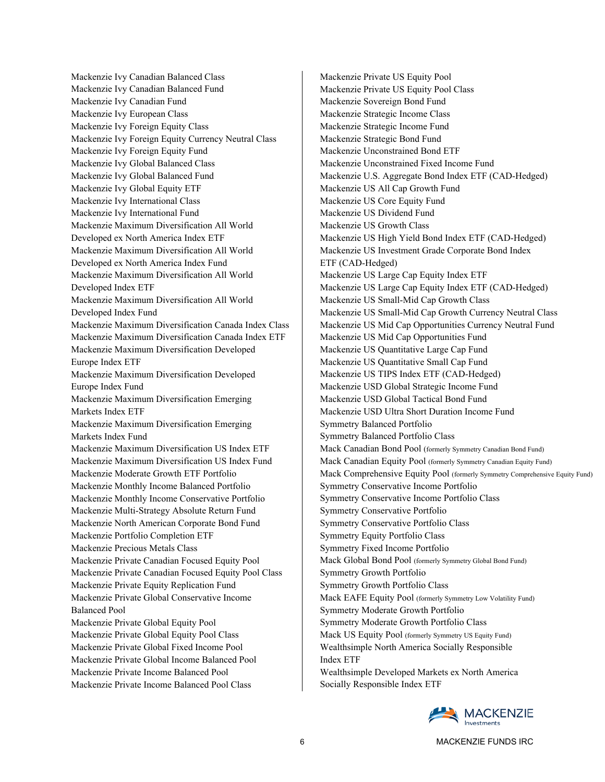Mackenzie Ivy Canadian Balanced Class Mackenzie Ivy Canadian Balanced Fund Mackenzie Ivy Canadian Fund Mackenzie Ivy European Class Mackenzie Ivy Foreign Equity Class Mackenzie Ivy Foreign Equity Currency Neutral Class Mackenzie Ivy Foreign Equity Fund Mackenzie Ivy Global Balanced Class Mackenzie Ivy Global Balanced Fund Mackenzie Ivy Global Equity ETF Mackenzie Ivy International Class Mackenzie Ivy International Fund Mackenzie Maximum Diversification All World Developed ex North America Index ETF Mackenzie Maximum Diversification All World Developed ex North America Index Fund Mackenzie Maximum Diversification All World Developed Index ETF Mackenzie Maximum Diversification All World Developed Index Fund Mackenzie Maximum Diversification Canada Index Class Mackenzie Maximum Diversification Canada Index ETF Mackenzie Maximum Diversification Developed Europe Index ETF Mackenzie Maximum Diversification Developed Europe Index Fund Mackenzie Maximum Diversification Emerging Markets Index ETF Mackenzie Maximum Diversification Emerging Markets Index Fund Mackenzie Maximum Diversification US Index ETF Mackenzie Maximum Diversification US Index Fund Mackenzie Moderate Growth ETF Portfolio Mackenzie Monthly Income Balanced Portfolio Mackenzie Monthly Income Conservative Portfolio Mackenzie Multi-Strategy Absolute Return Fund Mackenzie North American Corporate Bond Fund Mackenzie Portfolio Completion ETF Mackenzie Precious Metals Class Mackenzie Private Canadian Focused Equity Pool Mackenzie Private Canadian Focused Equity Pool Class Mackenzie Private Equity Replication Fund Mackenzie Private Global Conservative Income Balanced Pool Mackenzie Private Global Equity Pool Mackenzie Private Global Equity Pool Class Mackenzie Private Global Fixed Income Pool Mackenzie Private Global Income Balanced Pool Mackenzie Private Income Balanced Pool Mackenzie Private Income Balanced Pool Class

Mackenzie Private US Equity Pool Mackenzie Private US Equity Pool Class Mackenzie Sovereign Bond Fund Mackenzie Strategic Income Class Mackenzie Strategic Income Fund Mackenzie Strategic Bond Fund Mackenzie Unconstrained Bond ETF Mackenzie Unconstrained Fixed Income Fund Mackenzie U.S. Aggregate Bond Index ETF (CAD-Hedged) Mackenzie US All Cap Growth Fund Mackenzie US Core Equity Fund Mackenzie US Dividend Fund Mackenzie US Growth Class Mackenzie US High Yield Bond Index ETF (CAD-Hedged) Mackenzie US Investment Grade Corporate Bond Index ETF (CAD-Hedged) Mackenzie US Large Cap Equity Index ETF Mackenzie US Large Cap Equity Index ETF (CAD-Hedged) Mackenzie US Small-Mid Cap Growth Class Mackenzie US Small-Mid Cap Growth Currency Neutral Class Mackenzie US Mid Cap Opportunities Currency Neutral Fund Mackenzie US Mid Cap Opportunities Fund Mackenzie US Quantitative Large Cap Fund Mackenzie US Quantitative Small Cap Fund Mackenzie US TIPS Index ETF (CAD-Hedged) Mackenzie USD Global Strategic Income Fund Mackenzie USD Global Tactical Bond Fund Mackenzie USD Ultra Short Duration Income Fund Symmetry Balanced Portfolio Symmetry Balanced Portfolio Class Mack Canadian Bond Pool (formerly Symmetry Canadian Bond Fund) Mack Canadian Equity Pool (formerly Symmetry Canadian Equity Fund) Mack Comprehensive Equity Pool (formerly Symmetry Comprehensive Equity Fund) Symmetry Conservative Income Portfolio Symmetry Conservative Income Portfolio Class Symmetry Conservative Portfolio Symmetry Conservative Portfolio Class Symmetry Equity Portfolio Class Symmetry Fixed Income Portfolio Mack Global Bond Pool (formerly Symmetry Global Bond Fund) Symmetry Growth Portfolio Symmetry Growth Portfolio Class Mack EAFE Equity Pool (formerly Symmetry Low Volatility Fund) Symmetry Moderate Growth Portfolio Symmetry Moderate Growth Portfolio Class Mack US Equity Pool (formerly Symmetry US Equity Fund) Wealthsimple North America Socially Responsible Index ETF Wealthsimple Developed Markets ex North America Socially Responsible Index ETF